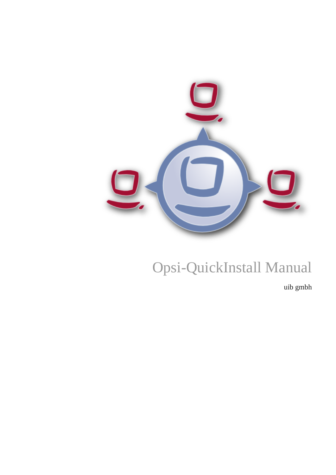

# Opsi-QuickInstall Manual

uib gmbh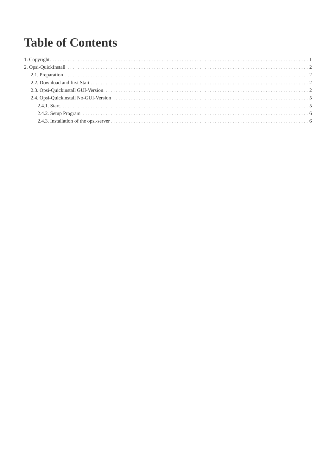## **Table of Contents**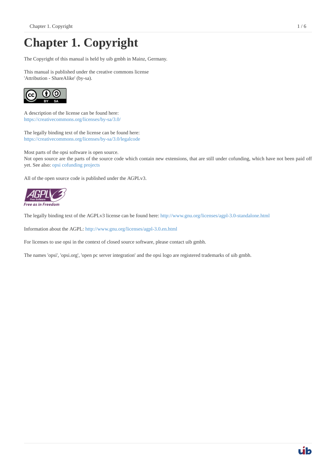## <span id="page-2-0"></span>**Chapter 1. Copyright**

The Copyright of this manual is held by uib gmbh in Mainz, Germany.

This manual is published under the creative commons license 'Attribution - ShareAlike' (by-sa).



A description of the license can be found here: <https://creativecommons.org/licenses/by-sa/3.0/>

The legally binding text of the license can be found here: <https://creativecommons.org/licenses/by-sa/3.0/legalcode>

Most parts of the opsi software is open source. Not open source are the parts of the source code which contain new extensions, that are still under cofunding, which have not been paid off yet. See also: [opsi cofunding projects](https://www.uib.de/en/opsi-cofunding/cofunding/)

All of the open source code is published under the AGPLv3.



The legally binding text of the AGPLv3 license can be found here:<http://www.gnu.org/licenses/agpl-3.0-standalone.html>

Information about the AGPL:<http://www.gnu.org/licenses/agpl-3.0.en.html>

For licenses to use opsi in the context of closed source software, please contact uib gmbh.

The names 'opsi', 'opsi.org', 'open pc server integration' and the opsi logo are registered trademarks of uib gmbh.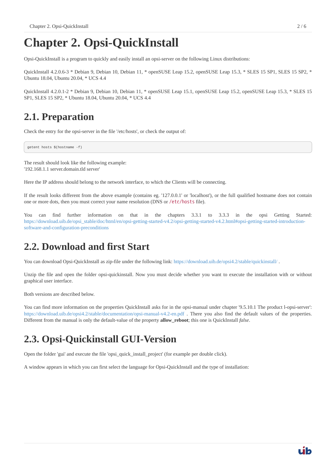## <span id="page-3-0"></span>**Chapter 2. Opsi-QuickInstall**

Opsi-QuickInstall is a program to quickly and easily install an opsi-server on the following Linux distributions:

QuickInstall 4.2.0.6-3 \* Debian 9, Debian 10, Debian 11, \* openSUSE Leap 15.2, openSUSE Leap 15.3, \* SLES 15 SP1, SLES 15 SP2, \* Ubuntu 18.04, Ubuntu 20.04, \* UCS 4.4

QuickInstall 4.2.0.1-2 \* Debian 9, Debian 10, Debian 11, \* openSUSE Leap 15.1, openSUSE Leap 15.2, openSUSE Leap 15.3, \* SLES 15 SP1, SLES 15 SP2, \* Ubuntu 18.04, Ubuntu 20.04, \* UCS 4.4

### <span id="page-3-1"></span>**2.1. Preparation**

Check the entry for the opsi-server in the file '/etc/hosts', or check the output of:

getent hosts \$(hostname -f)

The result should look like the following example: '192.168.1.1 server.domain.tld server'

Here the IP address should belong to the network interface, to which the Clients will be connecting.

If the result looks different from the above example (contains eg. '127.0.0.1' or 'localhost'), or the full qualified hostname does not contain one or more dots, then you must correct your name resolution (DNS or /etc/hosts file).

You can find further information on that in the chapters 3.3.1 to 3.3.3 in the opsi Getting Started: [https://download.uib.de/opsi\\_stable/doc/html/en/opsi-getting-started-v4.2/opsi-getting-started-v4.2.html#opsi-getting-started-introduction](https://download.uib.de/opsi_stable/doc/html/en/opsi-getting-started-v4.2/opsi-getting-started-v4.2.html#opsi-getting-started-introduction-software-and-configuration-preconditions)[software-and-configuration-preconditions](https://download.uib.de/opsi_stable/doc/html/en/opsi-getting-started-v4.2/opsi-getting-started-v4.2.html#opsi-getting-started-introduction-software-and-configuration-preconditions)

#### <span id="page-3-2"></span>**2.2. Download and first Start**

You can download Opsi-QuickInstall as zip-file under the following link: <https://download.uib.de/opsi4.2/stable/quickinstall/>.

Unzip the file and open the folder opsi-quickinstall. Now you must decide whether you want to execute the installation with or without graphical user interface.

Both versions are described below.

You can find more information on the properties QuickInstall asks for in the opsi-manual under chapter '9.5.10.1 The product l-opsi-server': <https://download.uib.de/opsi4.2/stable/documentation/opsi-manual-v4.2-en.pdf>. There you also find the default values of the properties. Different from the manual is only the default-value of the property **allow\_reboot**; this one is QuickInstall *false*.

#### <span id="page-3-3"></span>**2.3. Opsi-Quickinstall GUI-Version**

Open the folder 'gui' and execute the file 'opsi\_quick\_install\_project' (for example per double click).

A window appears in which you can first select the language for Opsi-QuickInstall and the type of installation: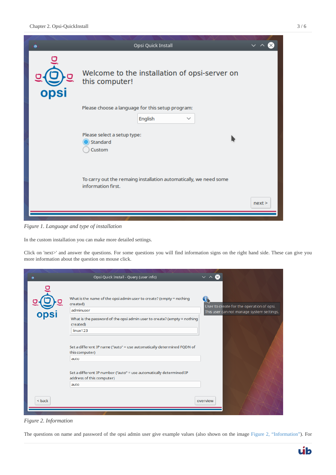

*Figure 1. Language and type of installation*

In the custom installation you can make more detailed settings.

Click on 'next>' and answer the questions. For some questions you will find information signs on the right hand side. These can give you more information about the question on mouse click.

<span id="page-4-0"></span>

|          | Opsi Quick Install - Query (user info)                                                                                                                                                                                                                                    |                                                                                        |
|----------|---------------------------------------------------------------------------------------------------------------------------------------------------------------------------------------------------------------------------------------------------------------------------|----------------------------------------------------------------------------------------|
| opsi     | What is the name of the opsi admin user to create? (empty = nothing<br>created)<br>adminuser<br>What is the password of the opsi admin user to create? (empty = nothing<br>created)<br>linux123<br>Set a different IP name ("auto" = use automatically determined FQDN of | User to create for the operation of opsi.<br>This user can not manage system settings. |
|          | this computer)<br>auto<br>Set a different IP number ("auto" = use automatically determined IP<br>address of this computer)<br>auto                                                                                                                                        |                                                                                        |
| $<$ back |                                                                                                                                                                                                                                                                           | overview                                                                               |

*Figure 2. Information*

The questions on name and password of the opsi admin user give example values (also shown on the image [Figure 2, "Information"](#page-4-0)). For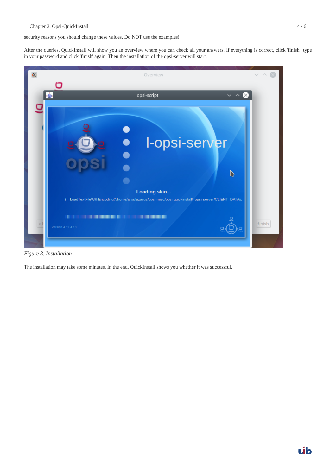security reasons you should change these values. Do NOT use the examples!

After the queries, QuickInstall will show you an overview where you can check all your answers. If everything is correct, click 'finish', type in your password and click 'finish' again. Then the installation of the opsi-server will start.



*Figure 3. Installation*

The installation may take some minutes. In the end, QuickInstall shows you whether it was successful.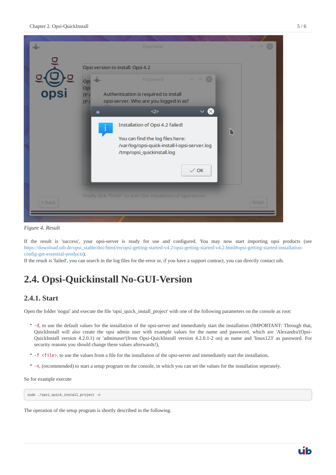

*Figure 4. Result*

If the result is 'success', your opsi-server is ready for use and configured. You may now start importing opsi products (see [https://download.uib.de/opsi\\_stable/doc/html/en/opsi-getting-started-v4.2/opsi-getting-started-v4.2.html#opsi-getting-started-installation](https://download.uib.de/opsi_stable/doc/html/en/opsi-getting-started-v4.2/opsi-getting-started-v4.2.html#opsi-getting-started-installation-config-get-essential-products)[config-get-essential-products](https://download.uib.de/opsi_stable/doc/html/en/opsi-getting-started-v4.2/opsi-getting-started-v4.2.html#opsi-getting-started-installation-config-get-essential-products)).

If the result is 'failed', you can search in the log files for the error or, if you have a support contract, you can directly contact uib.

### <span id="page-6-0"></span>**2.4. Opsi-Quickinstall No-GUI-Version**

#### <span id="page-6-1"></span>**2.4.1. Start**

Open the folder 'nogui' and execute the file 'opsi\_quick\_install\_project' with one of the following parameters on the console as root:

- -d, to use the default values for the installation of the opsi-server and immediately start the installation (IMPORTANT: Through that, QuickInstall will also create the opsi admin user with example values for the name and password, which are 'Alexandra'(Opsi-QuickInstall version 4.2.0.1) or 'adminuser'(from Opsi-QuickInstall version 4.2.0.1-2 on) as name and 'linux123' as password. For security reasons you should change these values afterwards!),
- -f <file>, to use the values from a file for the installation of the opsi-server and immediately start the installation,
- -n, (recommended) to start a setup program on the console, in which you can set the values for the installation seperately.

So for example execute

sudo ./opsi quick install project -n

The operation of the setup program is shortly described in the following.